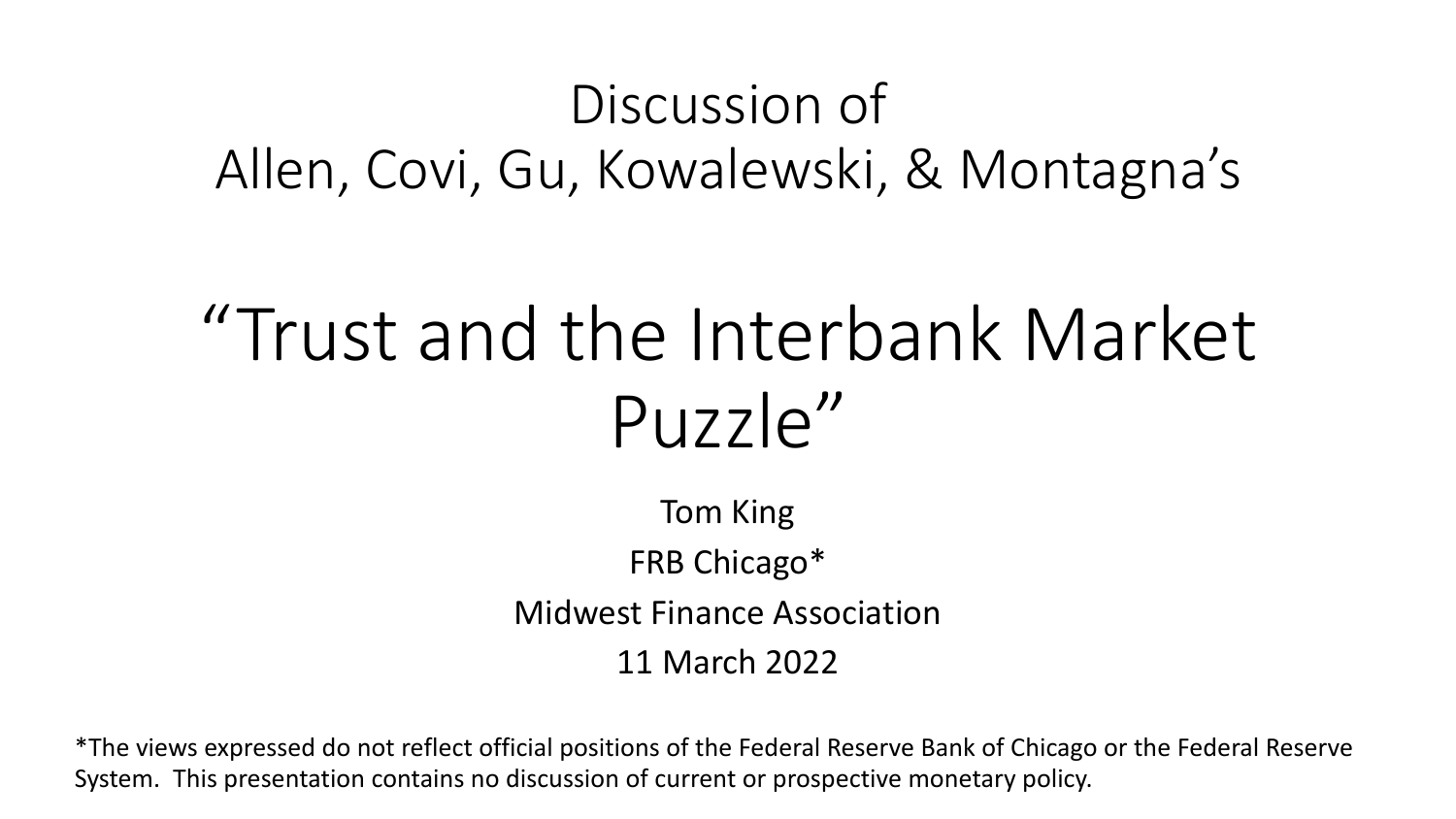#### Discussion of Allen, Covi, Gu, Kowalewski, & Montagna's

# "Trust and the Interbank Market  $P_{U}$ zzle"

Tom King FRB Chicago\* Midwest Finance Association 11 March 2022

\*The views expressed do not reflect official positions of the Federal Reserve Bank of Chicago or the Federal Reserve System. This presentation contains no discussion of current or prospective monetary policy.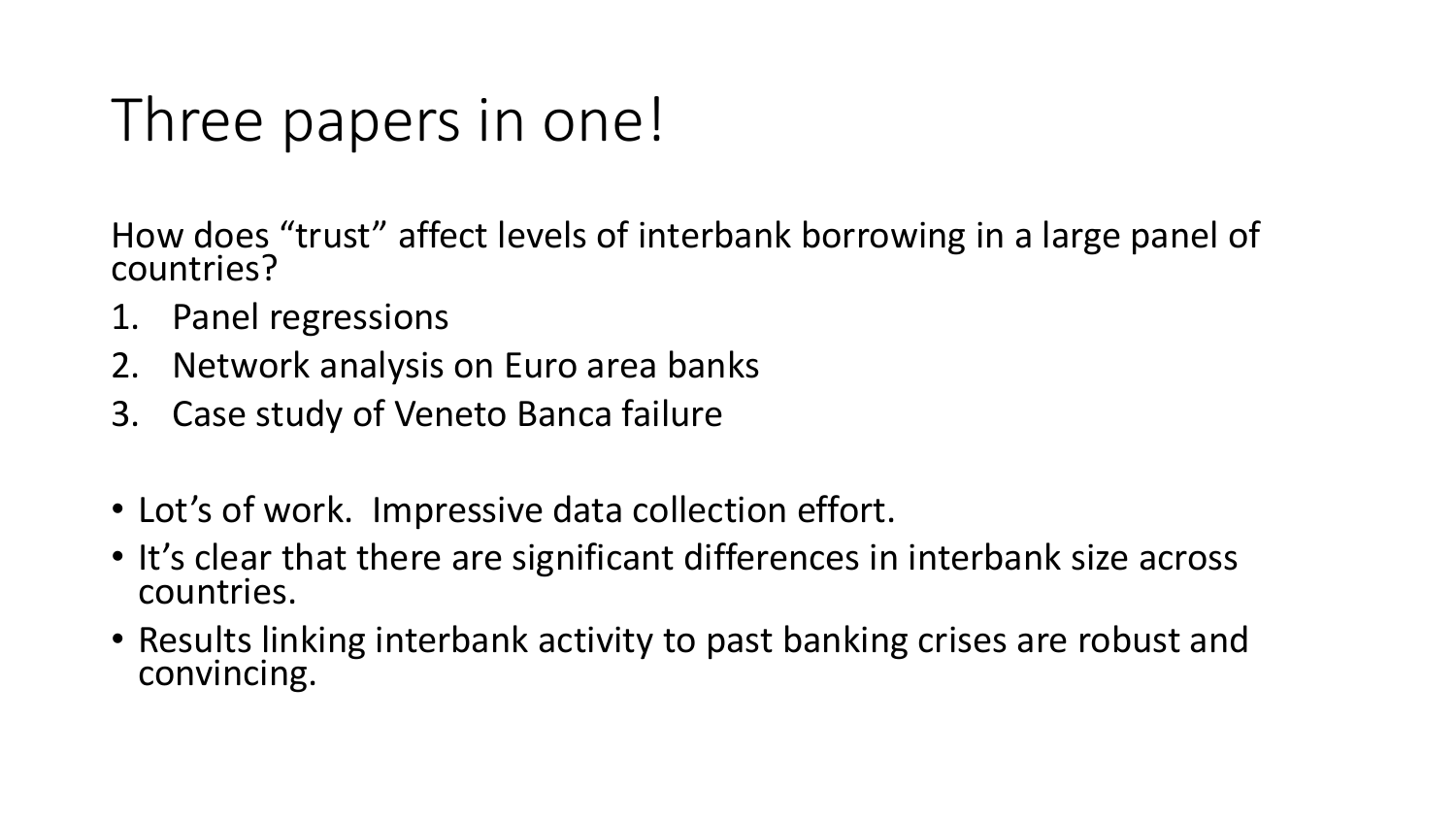# Three papers in one!

How does "trust" affect levels of interbank borrowing in a large panel of countries?

- 1. Panel regressions
- 2. Network analysis on Euro area banks
- 3. Case study of Veneto Banca failure
- Lot's of work. Impressive data collection effort.
- It's clear that there are significant differences in interbank size across countries.
- Results linking interbank activity to past banking crises are robust and convincing.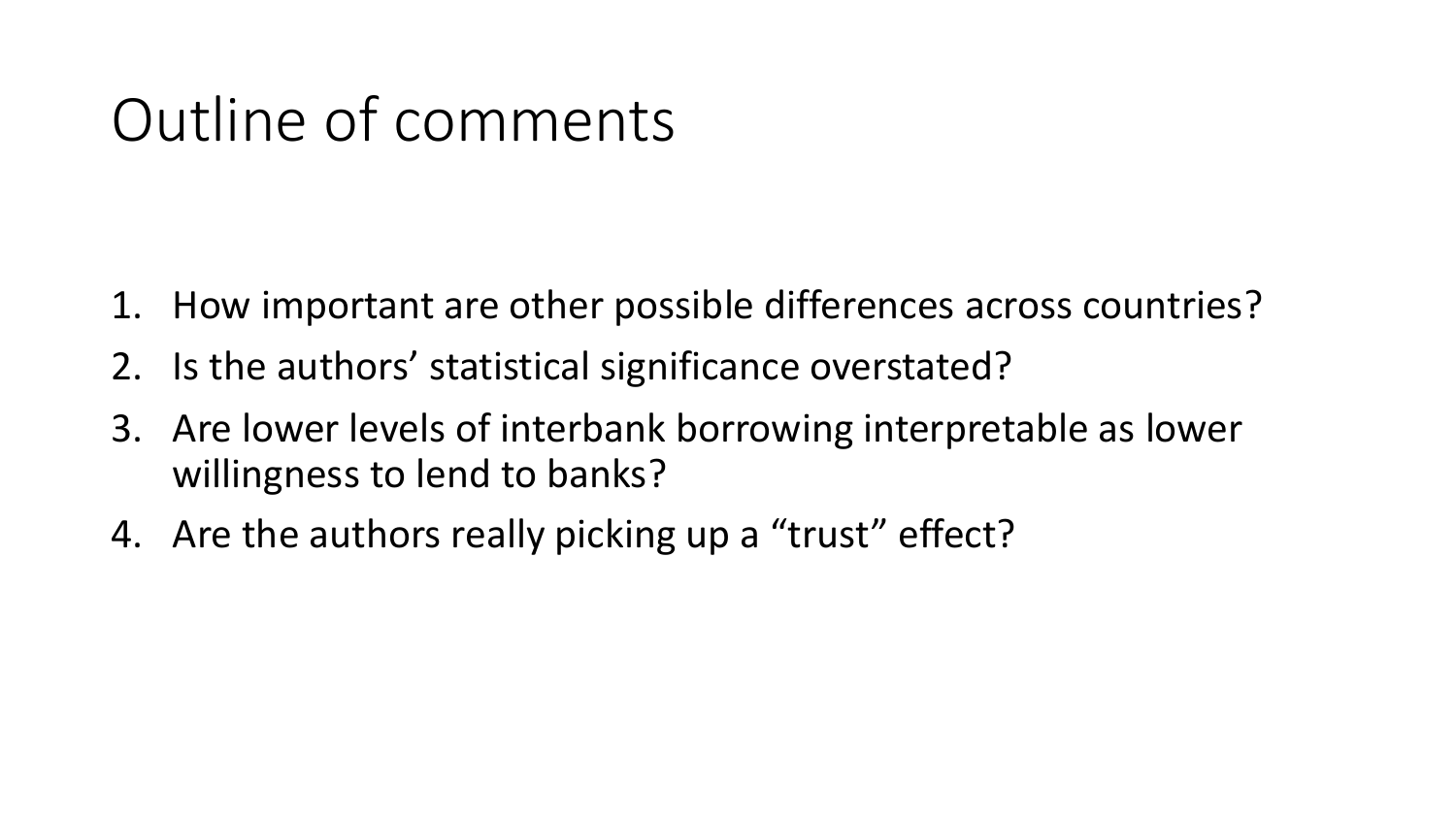#### Outline of comments

- 1. How important are other possible differences across countries?
- 2. Is the authors' statistical significance overstated?
- 3. Are lower levels of interbank borrowing interpretable as lower willingness to lend to banks?
- 4. Are the authors really picking up a "trust" effect?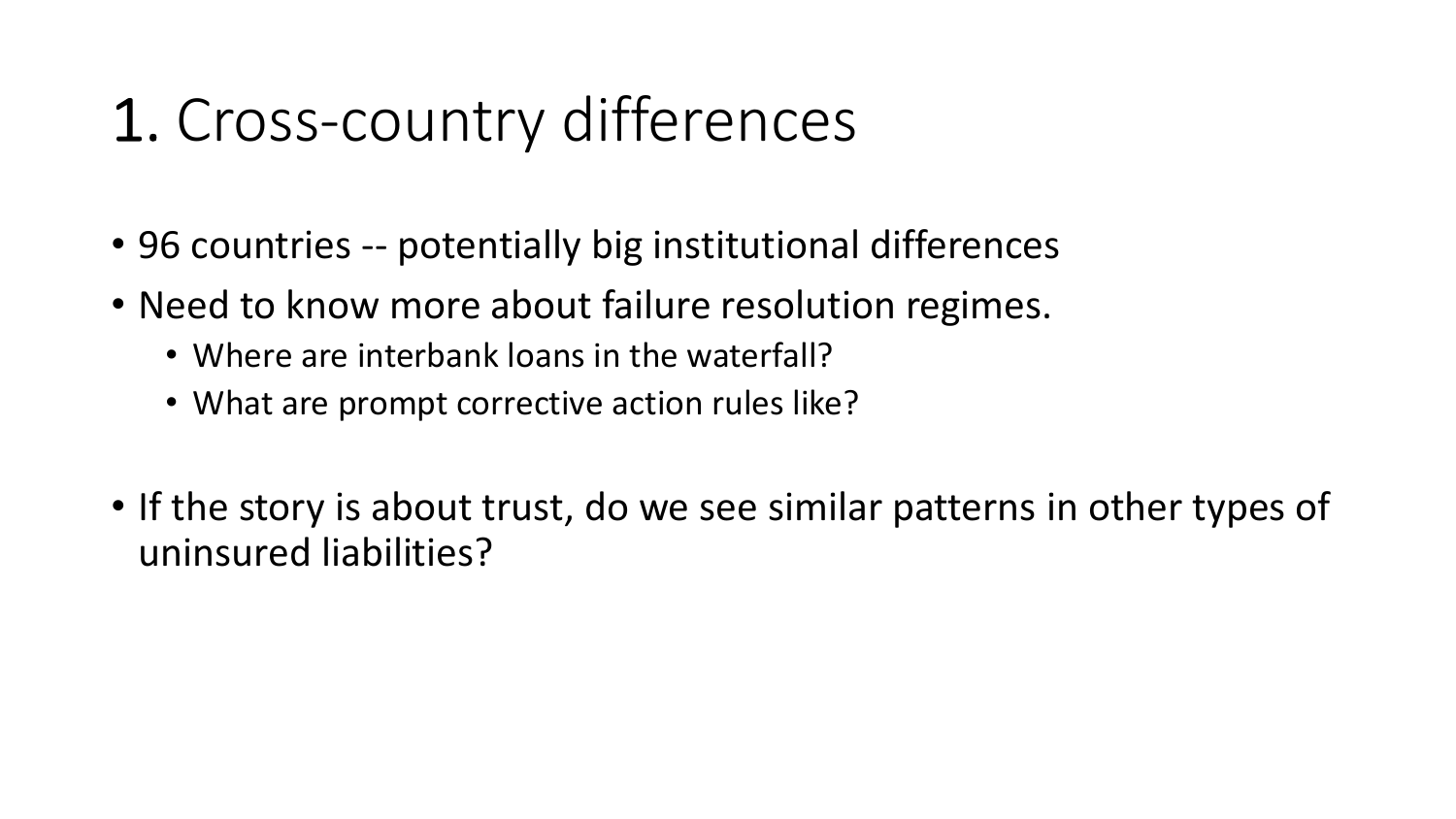# 1. Cross-country differences

- 96 countries -- potentially big institutional differences
- Need to know more about failure resolution regimes.
	- Where are interbank loans in the waterfall?
	- What are prompt corrective action rules like?
- If the story is about trust, do we see similar patterns in other types of uninsured liabilities?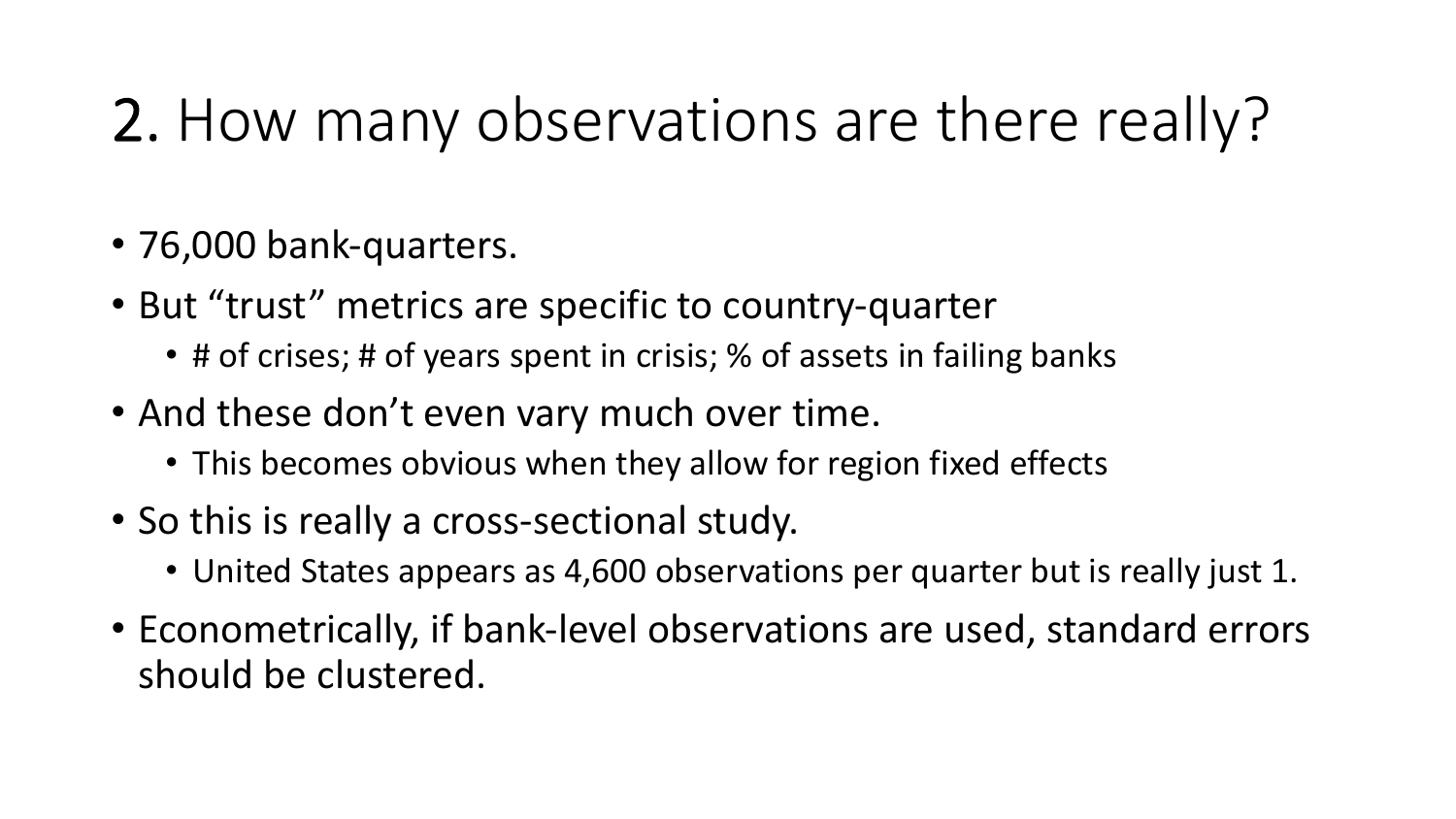# 2. How many observations are there really?

- 76,000 bank-quarters.
- But "trust" metrics are specific to country-quarter
	- # of crises; # of years spent in crisis; % of assets in failing banks
- And these don't even vary much over time.
	- This becomes obvious when they allow for region fixed effects
- So this is really a cross-sectional study.
	- United States appears as 4,600 observations per quarter but is really just 1.
- Econometrically, if bank-level observations are used, standard errors should be clustered.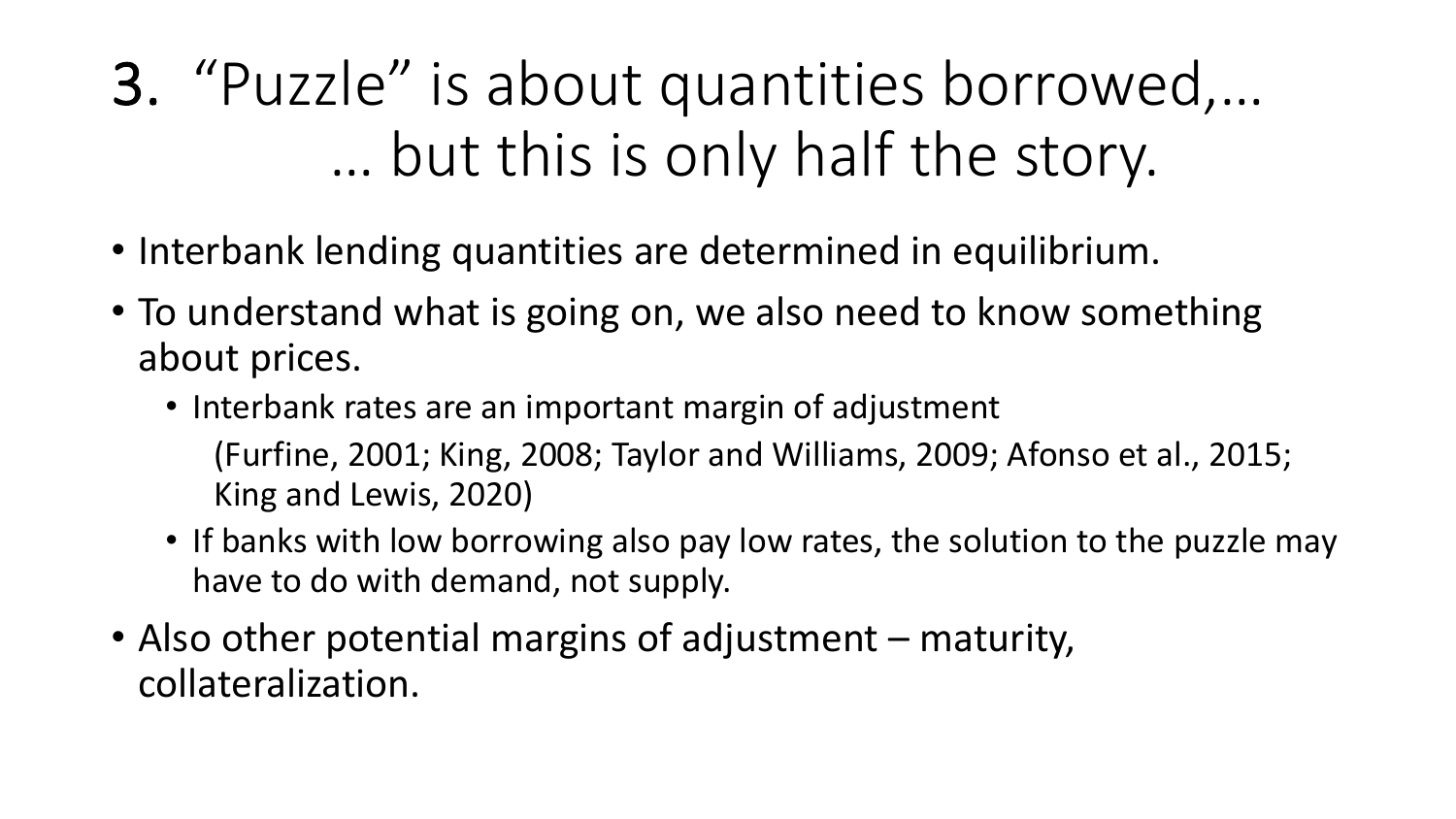3. "Puzzle" is about quantities borrowed,… … but this is only half the story.

- Interbank lending quantities are determined in equilibrium.
- To understand what is going on, we also need to know something about prices.
	- Interbank rates are an important margin of adjustment (Furfine, 2001; King, 2008; Taylor and Williams, 2009; Afonso et al., 2015; King and Lewis, 2020)
	- If banks with low borrowing also pay low rates, the solution to the puzzle may have to do with demand, not supply.
- Also other potential margins of adjustment maturity, collateralization.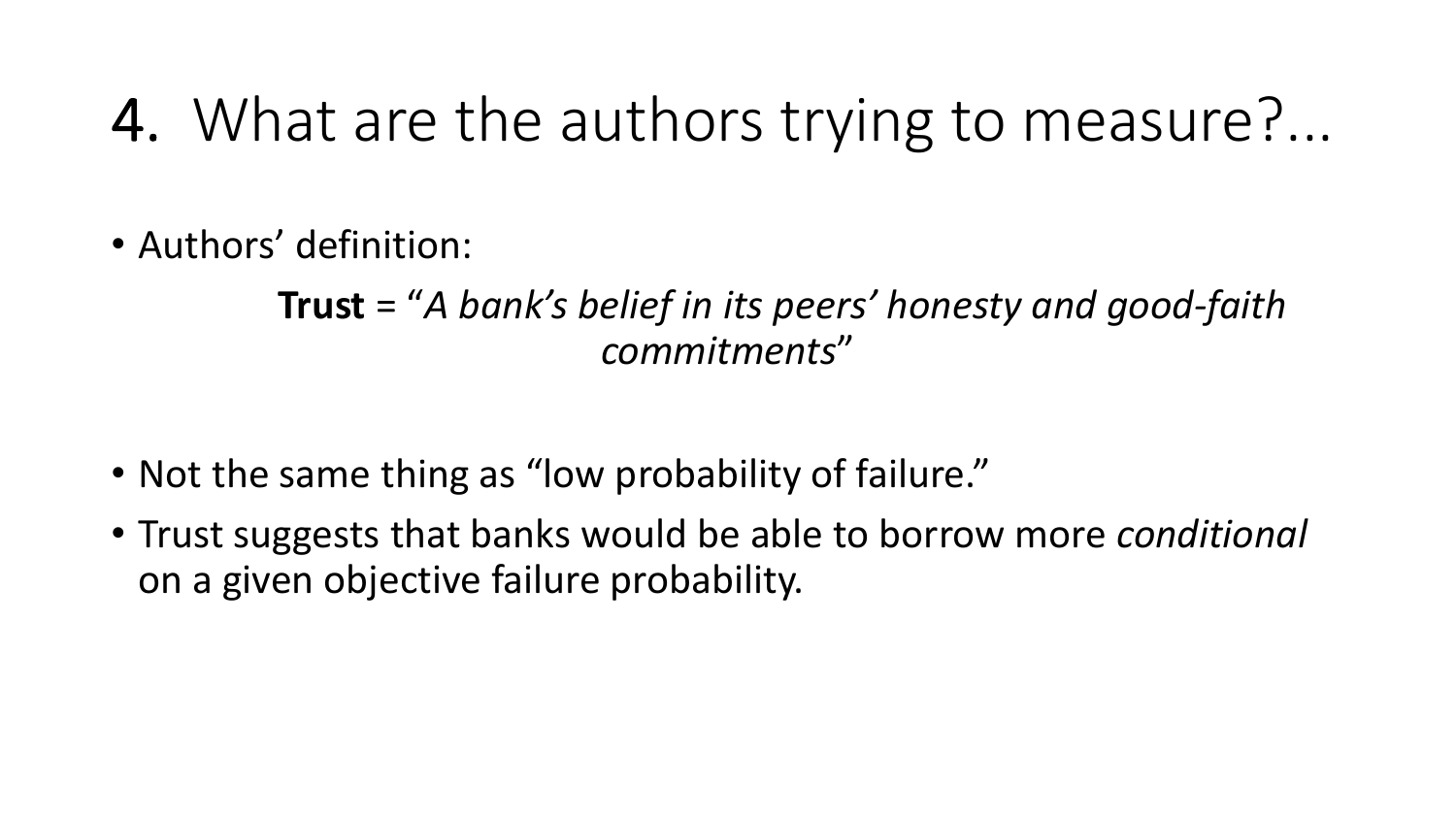#### 4. What are the authors trying to measure?...

• Authors' definition:

#### **Trust** = "*A bank's belief in its peers' honesty and good-faith commitments*"

- Not the same thing as "low probability of failure."
- Trust suggests that banks would be able to borrow more *conditional* on a given objective failure probability.